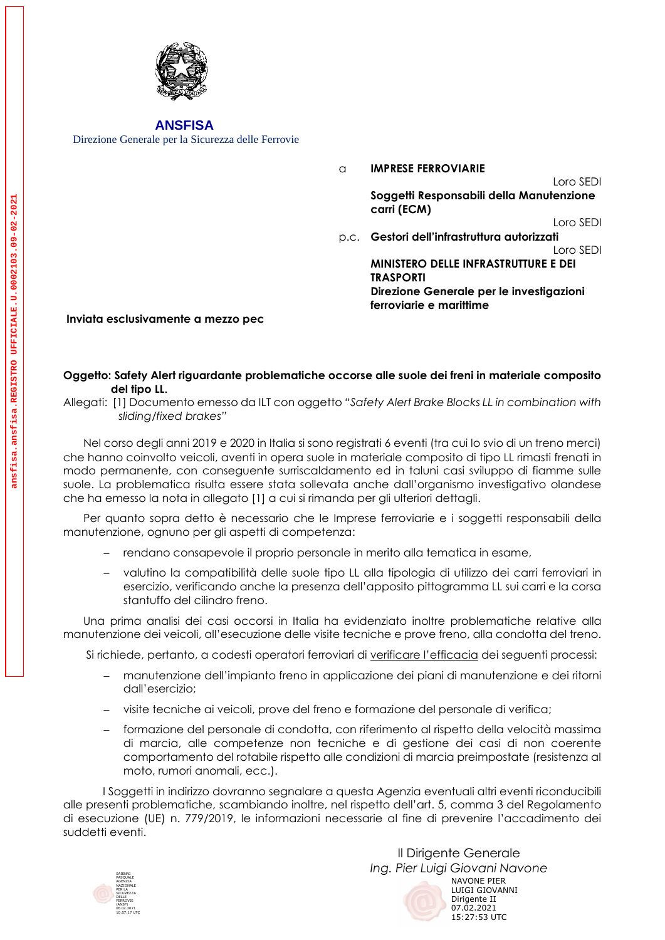

 **ANSFISA**

Direzione Generale per la Sicurezza delle Ferrovie

a **IMPRESE FERROVIARIE**  Loro SEDI p.c. **Gestori dell'infrastruttura autorizzati Soggetti Responsabili della Manutenzione carri (ECM)** Loro SEDI Loro SEDI **MINISTERO DELLE INFRASTRUTTURE E DEI TRASPORTI Direzione Generale per le investigazioni ferroviarie e marittime**

## **Inviata esclusivamente a mezzo pec**

## **Oggetto: Safety Alert riguardante problematiche occorse alle suole dei freni in materiale composito del tipo LL.**

Nel corso degli anni 2019 e 2020 in Italia si sono registrati 6 eventi (tra cui lo svio di un treno merci) che hanno coinvolto veicoli, aventi in opera suole in materiale composito di tipo LL rimasti frenati in modo permanente, con conseguente surriscaldamento ed in taluni casi sviluppo di fiamme sulle suole. La problematica risulta essere stata sollevata anche dall'organismo investigativo olandese che ha emesso la nota in allegato [1] a cui si rimanda per gli ulteriori dettagli.

Per quanto sopra detto è necessario che le Imprese ferroviarie e i soggetti responsabili della manutenzione, ognuno per gli aspetti di competenza:

- − rendano consapevole il proprio personale in merito alla tematica in esame,
- − valutino la compatibilità delle suole tipo LL alla tipologia di utilizzo dei carri ferroviari in esercizio, verificando anche la presenza dell'apposito pittogramma LL sui carri e la corsa stantuffo del cilindro freno.

Una prima analisi dei casi occorsi in Italia ha evidenziato inoltre problematiche relative alla manutenzione dei veicoli, all'esecuzione delle visite tecniche e prove freno, alla condotta del treno.

Si richiede, pertanto, a codesti operatori ferroviari di verificare l'efficacia dei seguenti processi:

- − manutenzione dell'impianto freno in applicazione dei piani di manutenzione e dei ritorni dall'esercizio;
- − visite tecniche ai veicoli, prove del freno e formazione del personale di verifica;
- − formazione del personale di condotta, con riferimento al rispetto della velocità massima di marcia, alle competenze non tecniche e di gestione dei casi di non coerente comportamento del rotabile rispetto alle condizioni di marcia preimpostate (resistenza al moto, rumori anomali, ecc.).

I Soggetti in indirizzo dovranno segnalare a questa Agenzia eventuali altri eventi riconducibili alle presenti problematiche, scambiando inoltre, nel rispetto dell'art. 5, comma 3 del Regolamento di esecuzione (UE) n. 779/2019, le informazioni necessarie al fine di prevenire l'accadimento dei suddetti eventi.



Il Dirigente Generale *Ing. Pier Luigi Giovani Navone* NAVONE PIER LUIGI GIOVANNI Dirigente II 07.02.2021 15:27:53 UTC

Allegati: [1] Documento emesso da ILT con oggetto *"Safety Alert Brake Blocks LL in combination with sliding/fixed brakes"*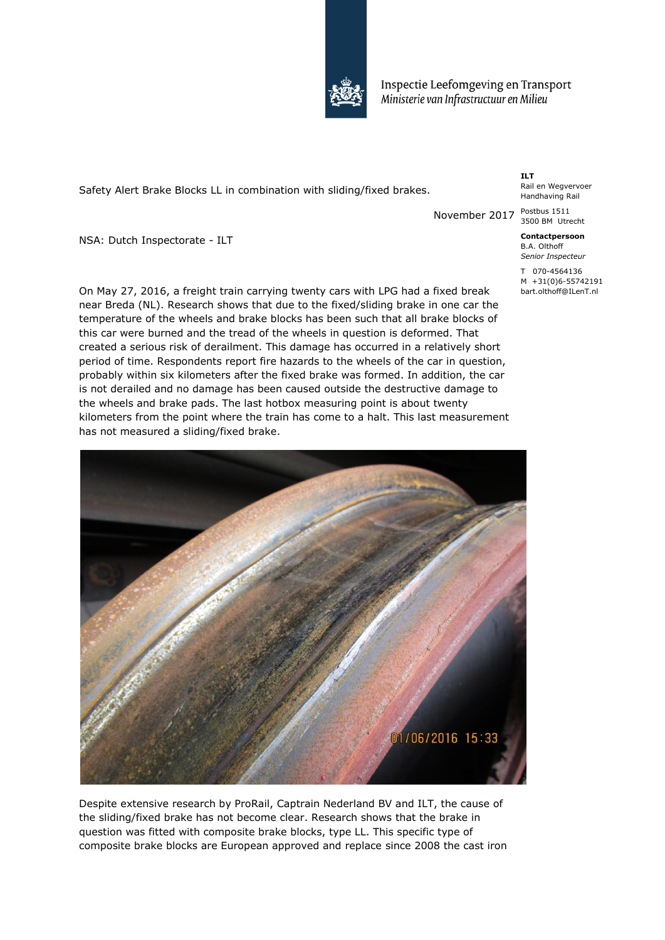

Inspectie Leefomgeving en Transport Ministerie van Infrastructuur en Milieu

Safety Alert Brake Blocks LL in combination with sliding/fixed brakes.

**ILT** Rail en Wegvervoer Handhaving Rail

November 2017 Postbus 1511 3500 BM Utrecht

> **Contactpersoon** B.A. Olthoff *Senior Inspecteur*

T 070-4564136 M +31(0)6-55742191 bart.olthoff@ILenT.nl

NSA: Dutch Inspectorate - ILT

On May 27, 2016, a freight train carrying twenty cars with LPG had a fixed break near Breda (NL). Research shows that due to the fixed/sliding brake in one car the temperature of the wheels and brake blocks has been such that all brake blocks of this car were burned and the tread of the wheels in question is deformed. That created a serious risk of derailment. This damage has occurred in a relatively short period of time. Respondents report fire hazards to the wheels of the car in question, probably within six kilometers after the fixed brake was formed. In addition, the car is not derailed and no damage has been caused outside the destructive damage to the wheels and brake pads. The last hotbox measuring point is about twenty kilometers from the point where the train has come to a halt. This last measurement has not measured a sliding/fixed brake.



Despite extensive research by ProRail, Captrain Nederland BV and ILT, the cause of the sliding/fixed brake has not become clear. Research shows that the brake in question was fitted with composite brake blocks, type LL. This specific type of composite brake blocks are European approved and replace since 2008 the cast iron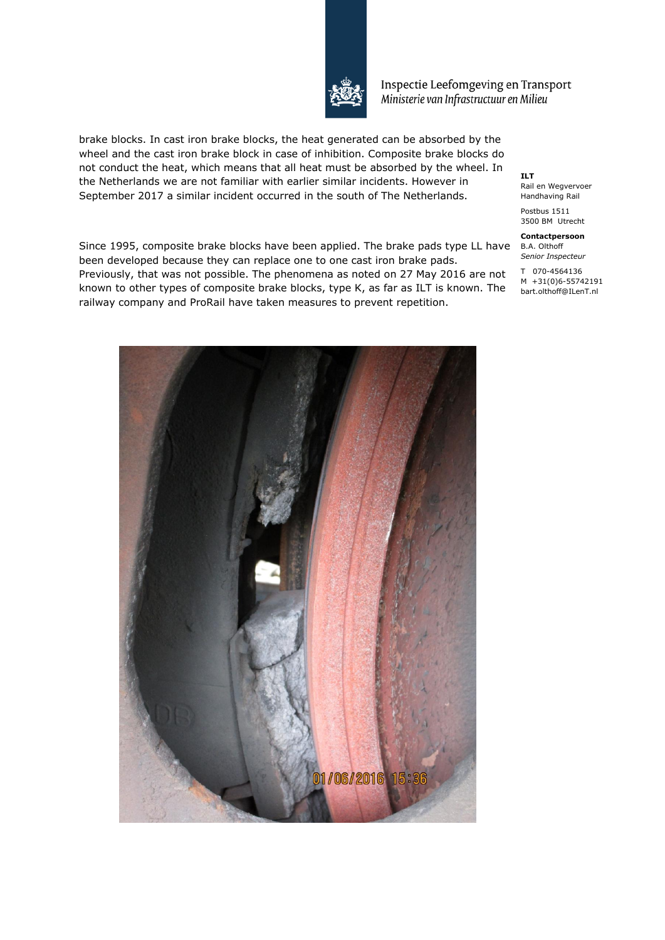

Inspectie Leefomgeving en Transport Ministerie van Infrastructuur en Milieu

brake blocks. In cast iron brake blocks, the heat generated can be absorbed by the wheel and the cast iron brake block in case of inhibition. Composite brake blocks do not conduct the heat, which means that all heat must be absorbed by the wheel. In the Netherlands we are not familiar with earlier similar incidents. However in September 2017 a similar incident occurred in the south of The Netherlands.

Since 1995, composite brake blocks have been applied. The brake pads type LL have B.A. Olthoff Previously, that was not possible. The phenomena as noted on 27 May 2016 are not  $17^{070-4564136}$ known to other types of composite brake blocks, type K, as far as ILT is known. The start.olthoff@ILenT.nl been developed because they can replace one to one cast iron brake pads. railway company and ProRail have taken measures to prevent repetition.

**ILT** Rail en Wegvervoer Handhaving Rail

Postbus 1511 3500 BM Utrecht

**Contactpersoon** *Senior Inspecteur*

M +31(0)6-55742191